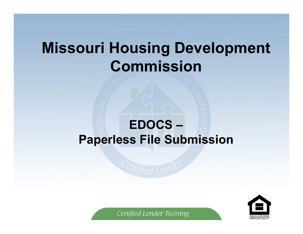# **Missouri Housing Development Commission**

### **EDOCS – Paperless File Submission**

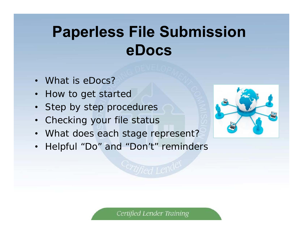# **Paperless File Submission eDocs**

- What is eDocs?
- How to get started
- Step by step procedures
- Checking your file status
- What does each stage represent?
- Helpful "Do" and "Don't" reminders

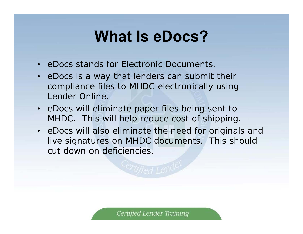# **What Is eDocs?**

- eDocs stands for Electronic Documents.
- eDocs is a way that lenders can submit their compliance files to MHDC electronically using Lender Online.
- eDocs will eliminate paper files being sent to MHDC. This will help reduce cost of shipping.
- eDocs will also eliminate the need for originals and live signatures on MHDC documents. This should cut down on deficiencies.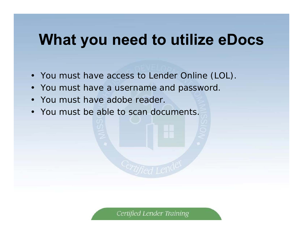## **What you need to utilize eDocs**

- You must have access to Lender Online (LOL).
- You must have a username and password.
- You must have adobe reader.
- You must be able to scan documents.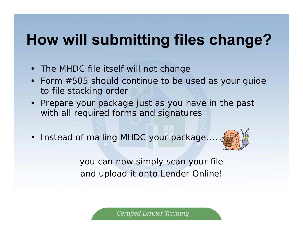# **How will submitting files change?**

- •The MHDC file itself will not change
- Form #505 should continue to be used as your guide to file stacking order
- Prepare your package just as you have in the past with all required forms and signatures
- Instead of mailing MHDC your package....,



you can now simply scan your file and upload it onto Lender Online!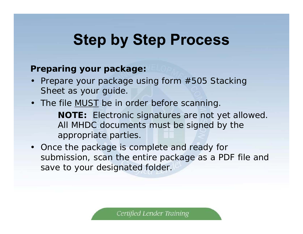### **Preparing your package:**

• Prepare your package using form #505 Stacking Sheet as your guide.

### • The file **MUST** be in order before scanning.

**NOTE:** Electronic signatures are not yet allowed. All MHDC documents must be signed by the appropriate parties.

• Once the package is complete and ready for submission, scan the entire package as a PDF file and save to your designated folder.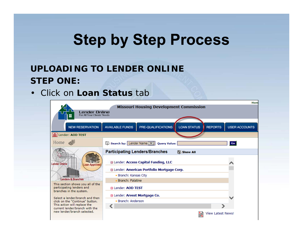### **UPLOADING TO LENDER ONLINE STEP ONE:**

• Click on **Loan Status** tab

| Lender Online<br>For All Your Clients' Needs                       |                                      | <b>Missouri Housing Development Commission</b>     |                    |                          | Hom                  |
|--------------------------------------------------------------------|--------------------------------------|----------------------------------------------------|--------------------|--------------------------|----------------------|
| <b>NEW RESERVATION</b>                                             | <b>AVAILABLE FUNDS</b>               | PRE-QUALIFICATIONS                                 | <b>LOAN STATUS</b> | <b>REPORTS</b>           | <b>USER ACCOUNTS</b> |
| m Lender: AOD TEST                                                 |                                      |                                                    |                    |                          |                      |
| Home                                                               | Search by: Lender Name V             | <b>Query Value:</b>                                |                    |                          | Go                   |
|                                                                    |                                      | <b>Participating Lenders/Branches</b>              | Show All           |                          |                      |
| Lender Online<br><b>Loan Approved</b>                              |                                      | <b>D</b> Lender: Access Capital Funding, LLC       |                    |                          |                      |
|                                                                    |                                      | <b>E Lender: American Portfolio Mortgage Corp.</b> |                    |                          |                      |
|                                                                    | · Branch: Kansas City                |                                                    |                    |                          |                      |
| <b>Lenders &amp; Branches</b><br>This section shows you all of the | - Branch: Palatine                   |                                                    |                    |                          |                      |
| participating lenders and<br>branches in the system.               | <b>A Lender: AOD TEST</b>            |                                                    |                    |                          |                      |
| Select a lender/branch and then                                    | <b>E Lender: Arvest Mortgage Co.</b> |                                                    |                    |                          |                      |
| click on the "Continue" button.                                    | · Branch: Anderson                   |                                                    |                    |                          |                      |
| This action will replace the<br>current lender/branch with the     |                                      |                                                    |                    |                          |                      |
| new lender/branch selected.                                        |                                      |                                                    |                    | <b>View Latest News!</b> |                      |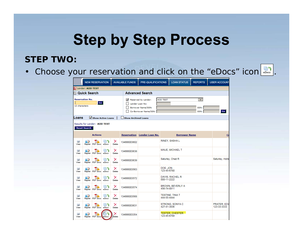#### **STEP TWO:**

• Choose your reservation and click on the "eDocs" icon  $\lfloor \frac{2\pi}{60005}\rfloor$ .

|               |                            | <b>NEW RESERVATION</b>       |               |             | <b>AVAILABLE FUNDS</b>     | PRE-QUALIFICATIONS                                                                    |                         | <b>LOAN STATUS</b>      | <b>REPORTS</b>               | <b>USER ACCOUNT</b>        |
|---------------|----------------------------|------------------------------|---------------|-------------|----------------------------|---------------------------------------------------------------------------------------|-------------------------|-------------------------|------------------------------|----------------------------|
|               | <b>II</b> Lender: AOD TEST |                              |               |             |                            |                                                                                       |                         |                         |                              |                            |
|               | ⊠ Quick Search             |                              |               |             |                            | <b>Advanced Search</b>                                                                |                         |                         |                              |                            |
| 12 characters | <b>Reservation No.</b>     | Go                           |               |             | ✓                          | Reserved by Lender:<br>Lender Loan No:<br>Borrower Name/SSN:<br>Co-Borrower Name/SSN: | <b>AOD TEST</b>         |                         | $\checkmark$<br>SSN:<br>SSN: | Go                         |
| Loans         |                            | Show Active Loans            |               |             | <b>Show Archived Loans</b> |                                                                                       |                         |                         |                              |                            |
|               | <b>Reset Search</b>        | Results for Lender: AOD TEST |               |             |                            |                                                                                       |                         |                         |                              |                            |
|               |                            | <b>Actions</b>               |               |             | <b>Reservation</b>         | Lender Loan No.                                                                       |                         | <b>Borrower Name</b>    |                              | $c$                        |
| 車<br>View     | eD<br>Reprint              | <b>PDF</b> Docs              | 噫つ<br>eDocs   | ×<br>Delete | 134666003602               |                                                                                       |                         | RINEY, SASHA L          |                              |                            |
| 賱<br>View     | r)<br>Reprint              | 고면<br><b>PDF</b> Docs        | en.<br>eDocs  | ×<br>Delete | 134666003638               |                                                                                       |                         | MAUE, MICHAEL T         |                              |                            |
| 賱<br>View     | ₽₿<br>Reprint              | <b>PDF</b> Docs              | دا∰<br>eDocs  | ×<br>Delete | 134666003639               |                                                                                       |                         | Saturley, Chad R        |                              | Saturley, Hollie           |
| 賱<br>View     | eD<br>Reprint              | <b>PDF</b> Docs              | 噫ゎ<br>eDocs   | ×<br>Delete | 134666003563               |                                                                                       | DOE, JON<br>123-45-6780 |                         |                              |                            |
| 醧<br>View     | eD<br>Reprint              | 조<br><b>PDF</b> Docs         | 噫う<br>eDocs   | ×<br>Delete | 134666003572               |                                                                                       | 000-11-2222             | DAVIS, RACHEL R         |                              |                            |
| 驅<br>View     | eD<br>Reprint              | <b>PDF</b> Docs              | lê j<br>eDocs | ×<br>Delete | 134666003574               |                                                                                       | 456-74-8911             | <b>BROWN, BEVERLY A</b> |                              |                            |
| 賱<br>View     | eB)<br>Reprint             | <b>PDF</b> Docs              | 噫う<br>eDoos   | ×<br>Delete | 134666003568               |                                                                                       | 444-55-4444             | <b>TESTINE, TINA T</b>  |                              |                            |
| 賱<br>View     | r)<br>Reprint              | ᅏ<br>PDF Doos eDoos          | 偏う            | ×<br>Delete | 134666003631               |                                                                                       | 427-41-3936             | STRONG, SONYA C         |                              | PRATER, EDV<br>123-33-3333 |
| 賱<br>View     | eD<br>Reprint              | <b>PDF</b> Docs eDocs        |               | x<br>Delete | 134666003354               |                                                                                       | 123-45-6789             | <b>TESTER, CHESTER</b>  |                              |                            |
|               |                            |                              |               |             |                            |                                                                                       |                         |                         |                              |                            |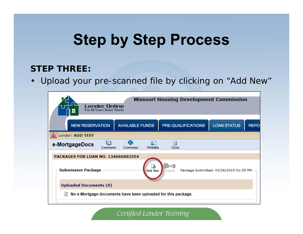### **STEP THREE:**

• Upload your pre-scanned file by clicking on "Add New"

| Lender Online<br>For All Your Clients' Needs                       |                                  | <b>Missouri Housing Development Commission</b> |                                          |             |
|--------------------------------------------------------------------|----------------------------------|------------------------------------------------|------------------------------------------|-------------|
| <b>NEW RESERVATION</b>                                             | <b>AVAILABLE FUNDS</b>           | PRE-QUALIFICATIONS                             | <b>LOAN STATUS</b>                       | <b>REPO</b> |
| Lender: AOD TEST                                                   |                                  |                                                |                                          |             |
| m<br>e-MortgageDocs<br>Comments                                    | O<br>Βì<br>Printable<br>Comments | M<br>Close                                     |                                          |             |
| <b>PACKAGES FOR LOAN NO. 134666003354</b>                          |                                  |                                                |                                          |             |
| <b>Submission Package</b>                                          | 尘<br>Add New                     | Submit                                         | - Package Submitted: 03/26/2015 01:35 PM |             |
| <b>Uploaded Documents (0)</b>                                      |                                  |                                                |                                          |             |
| l۱<br>No e-Mortgage documents have been uploaded for this package. |                                  |                                                |                                          |             |
|                                                                    |                                  |                                                |                                          |             |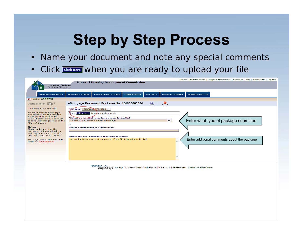- •Name your document and note any special comments
- •Click **GIGK Here** when you are ready to upload your file

|                                                                       | Home   Bulletin Board   Program Documents   Glossary   Help   Contact Us   Log Out<br><b>Missouri Housing Development Commission</b>  |
|-----------------------------------------------------------------------|---------------------------------------------------------------------------------------------------------------------------------------|
| Lender Online<br>For All Your Clients' Needs                          |                                                                                                                                       |
|                                                                       |                                                                                                                                       |
| <b>NEW RESERVATION</b>                                                | <b>AVAILABLE FUNDS</b><br>PRE-QUALIFICATIONS<br><b>LOAN STATUS</b><br><b>REPORTS</b><br><b>USER ACCOUNTS</b><br><b>ADMINISTRATION</b> |
| <b>In Lender: AOD TEST</b>                                            |                                                                                                                                       |
| Loan Status S <sup>2</sup>                                            | ы<br>◙<br>eMortgage Document For Loan No. 134666003354<br>Save<br>Cancel                                                              |
| * denotes a required field.                                           | Package: Submission Package v                                                                                                         |
| To add/modify an eMortgage<br>document fill out the required          | Nease Click Here to upload a document.                                                                                                |
| fields and then click on the<br>"Save" button. If you don't wish      | *Select a document name from the predefined list                                                                                      |
| to save your changes click on the<br>"Cancel" button.                 | Enter what type of package submitted<br>$\overline{\mathsf{v}}$<br>1 - MHDC First Place Submission Package                            |
| <b>Notes:</b>                                                         | or<br>*Enter a customized document name.                                                                                              |
| Please make sure that the<br>document that you upload is a            |                                                                                                                                       |
| valid document. Ex: .pdf, .doc,<br>.xls, .gif, .jpeg, .png, .txt, etc |                                                                                                                                       |
| The 'Login Name' and 'Password'                                       | Enter additional comments about this document<br>Income for this loan was prior approved. Form 521 is included in the file.           |
| fields are case sensitive.                                            | Enter additional comments about the package                                                                                           |
|                                                                       |                                                                                                                                       |
|                                                                       |                                                                                                                                       |
|                                                                       |                                                                                                                                       |
|                                                                       |                                                                                                                                       |
|                                                                       | <b>Democration A</b>                                                                                                                  |

ed by Magy/S Copyright © 1999 - 2014 Emphasys Software. All rights reserved. | About Lender Online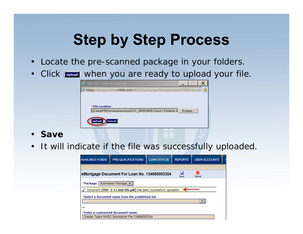- Locate the pre-scanned package in your folders.
- Click when you are ready to upload your file.



- **Save**
- It will indicate if the file was successfully uploaded.

| <b>AVAILABLE FUNDS</b>              | PRE-QUALIFICATIONS                                                | <b>LOAN STATUS</b> | <b>REPORTS</b> | <b>USER ACCOUNTS</b> |  |
|-------------------------------------|-------------------------------------------------------------------|--------------------|----------------|----------------------|--|
|                                     |                                                                   |                    |                |                      |  |
|                                     | eMortgage Document For Loan No. 134666003354                      |                    | Ы<br>Save      | Ø<br>Cancel          |  |
| *Package: Submission Package $\vee$ |                                                                   |                    |                |                      |  |
|                                     | Document (000-3-11 test file.pdf) has been successfully uploaded. |                    |                |                      |  |
|                                     | *Select a document name from the predefined list                  |                    |                |                      |  |
|                                     |                                                                   |                    |                | ◡                    |  |
| or                                  |                                                                   |                    |                |                      |  |
|                                     | *Enter a customized document name.                                |                    |                |                      |  |
|                                     | Chester Testor MHDC Submission File 134666003354                  |                    |                |                      |  |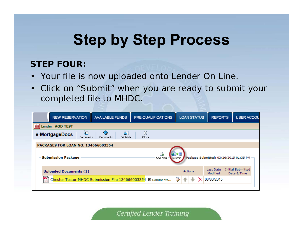### **STEP FOUR:**

- Your file is now uploaded onto Lender On Line.
- Click on "Submit" when you are ready to submit your completed file to MHDC.

| <b>NEW RESERVATION</b>                                           | <b>AVAILABLE FUNDS</b>      | PRE-QUALIFICATIONS |                 | <b>LOAN STATUS</b> | <b>REPORTS</b>        |                                          | <b>USER ACCOU</b> |
|------------------------------------------------------------------|-----------------------------|--------------------|-----------------|--------------------|-----------------------|------------------------------------------|-------------------|
| <b>In Lender: AOD TEST</b>                                       |                             |                    |                 |                    |                       |                                          |                   |
| ហ<br>e-MortgageDocs<br>Comments                                  | B.<br>Printable<br>Comments | ⊠<br>Close         |                 |                    |                       |                                          |                   |
| <b>PACKAGES FOR LOAN NO. 134666003354</b>                        |                             |                    |                 |                    |                       |                                          |                   |
| <b>Submission Package</b>                                        |                             | Add New -          | Submit <b>A</b> |                    |                       | Package Submitted: 03/26/2015 01:35 PM - |                   |
| <b>Uploaded Documents (1)</b>                                    |                             |                    |                 | Actions            | Last Date<br>Modified | <b>Initial Submitted</b><br>Date & Time  |                   |
| 婯<br>Chester Testor MHDC Submission File 134666003354 田 Comments |                             |                    |                 |                    | 03/30/2015            |                                          |                   |
|                                                                  |                             |                    |                 |                    |                       |                                          |                   |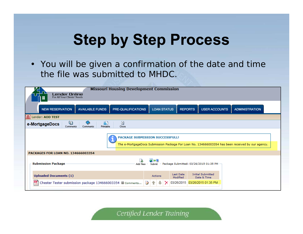• You will be given a confirmation of the date and time the file was submitted to MHDC.

| <b>Lender Online</b><br>For All Your Clients' Needs       |                                 | <b>Missouri Housing Development Commission</b> |                    |                       |                                                                                                  |                       |
|-----------------------------------------------------------|---------------------------------|------------------------------------------------|--------------------|-----------------------|--------------------------------------------------------------------------------------------------|-----------------------|
| <b>NEW RESERVATION</b>                                    | <b>AVAILABLE FUNDS</b>          | PRE-QUALIFICATIONS                             | <b>LOAN STATUS</b> | <b>REPORTS</b>        | <b>USER ACCOUNTS</b>                                                                             | <b>ADMINISTRATION</b> |
| In Lender: AOD TEST                                       |                                 |                                                |                    |                       |                                                                                                  |                       |
| O<br>e-MortgageDocs<br>Comments                           | 昏<br>e<br>Printable<br>Comments | ⊠<br>Close                                     |                    |                       |                                                                                                  |                       |
| PACKAGES FOR LOAN NO. 134666003354                        |                                 | <b>PACKAGE SUBMISSION SUCCESSFULL!</b>         |                    |                       | The e-MortgageDocs Submission Package For Loan No. 134666003354 has been received by our agency. |                       |
| <b>Submission Package</b>                                 |                                 | Add New                                        | Submit             |                       | Package Submitted: 03/26/2015 01:35 PM                                                           |                       |
| <b>Uploaded Documents (1)</b>                             |                                 |                                                | <b>Actions</b>     | Last Date<br>Modified | <b>Initial Submitted</b><br>Date & Time                                                          |                       |
| Chester Tester submission package 134666003354 E Comments |                                 |                                                |                    |                       | 03/26/2015 03/26/2015 01:35 PM                                                                   |                       |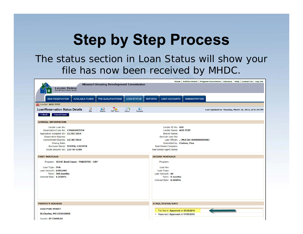### The status section in Loan Status will show your file has now been received by MHDC.

| <b>Missouri Housing Development Commission</b><br>Lender Online<br>For All Your Clients' Needs                                                                                                                                                            | Home   Bulletin Board   Program Documents   Glossary   Help   Contact Us   Log Out                                                                                                                                 |
|-----------------------------------------------------------------------------------------------------------------------------------------------------------------------------------------------------------------------------------------------------------|--------------------------------------------------------------------------------------------------------------------------------------------------------------------------------------------------------------------|
| PRE-QUALIFICATIONS<br><b>LOAN STATUS</b><br><b>AVAILABLE FUNDS</b><br><b>NEW RESERVATION</b>                                                                                                                                                              | <b>REPORTS</b><br><b>USER ACCOUNTS</b><br><b>ADMINISTRATION</b>                                                                                                                                                    |
| m Lender: AOD TEST                                                                                                                                                                                                                                        |                                                                                                                                                                                                                    |
| A)<br>偏う<br>$\frac{p}{p}$<br>Reprint<br>D.<br>Edit<br>7P)<br><b>Loan/Reservation Status Details</b><br>PDF Docs<br>eDocs<br>Printable                                                                                                                     | Last Updated on Thursday, March 26, 2015, at 01:45 PM                                                                                                                                                              |
| <b>Cancel Loan</b><br>« Back                                                                                                                                                                                                                              |                                                                                                                                                                                                                    |
| <b>GENERAL INFORMATION</b>                                                                                                                                                                                                                                |                                                                                                                                                                                                                    |
| Lender Loan No:<br>Reservation/Loan No: 134666003354<br>Application Accepted On: 11/05/2014<br><b>Reservation Expires:</b><br>Commitment Expires: 12/20/2014<br><b>Closing Date:</b><br>Borrower Name: TESTER, CHESTER<br>Social Security No: 123-45-6789 | Lender ID No: 666<br>Lender Name: AOD TEST<br><b>Branch Name:</b><br>Servicer Loan No:<br>Loan Officer: , [MLS ID: 000000000000]<br>Submitted by: Clubine, Tina<br>Real Estate Company:<br>Real Estate Agent Name: |
| <b>FIRST MORTGAGE</b>                                                                                                                                                                                                                                     | <b>SECOND MORTGAGE</b>                                                                                                                                                                                             |
| Program: 2014C Bond Issue - TARGETED - CAP                                                                                                                                                                                                                | Program:                                                                                                                                                                                                           |
| Loan Type: FHA<br>Loan Amount: \$100,000                                                                                                                                                                                                                  | Loan No:<br>Loan Type:                                                                                                                                                                                             |
| Term: 360 months                                                                                                                                                                                                                                          | Loan Amount: \$0                                                                                                                                                                                                   |
| Interest Rate: 4.2500%                                                                                                                                                                                                                                    | Term: 0 months                                                                                                                                                                                                     |
|                                                                                                                                                                                                                                                           | Interest Rate: 0.0000%                                                                                                                                                                                             |
| <b>PROPERTY ADDRESS</b>                                                                                                                                                                                                                                   | <b>STAGE/STATUS/DATE</b>                                                                                                                                                                                           |
| <b>1022 PIKE STREET</b>                                                                                                                                                                                                                                   | • File Rec'd / Approved on 03/26/2015                                                                                                                                                                              |
| St.Charles, MO 633010000                                                                                                                                                                                                                                  | • Reserved / Approved on 11/05/2014                                                                                                                                                                                |
| <b>County: ST CHARLES</b>                                                                                                                                                                                                                                 |                                                                                                                                                                                                                    |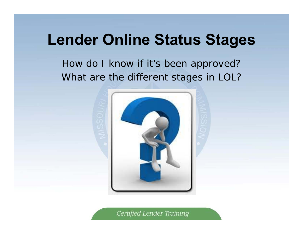How do I know if it's been approved? What are the different stages in LOL?

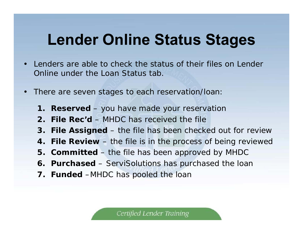- • Lenders are able to check the status of their files on Lender Online under the Loan Status tab.
- • There are seven stages to each reservation/loan:
	- **1. Reserved** you have made your reservation
	- **2. File Rec'd**  MHDC has received the file
	- **3. File Assigned**  the file has been checked out for review
	- **4. File Review**  the file is in the process of being reviewed
	- **5. Committed** the file has been approved by MHDC
	- **6. Purchased** ServiSolutions has purchased the loan
	- **7. Funded** –MHDC has pooled the loan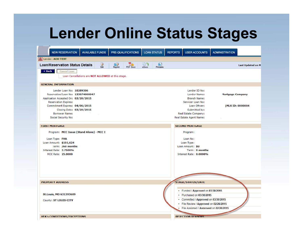| <b>AVAILABLE FUNDS</b><br><b>NEW RESERVATION</b>                           | PRE-QUALIFICATIONS        | <b>LOAN STATUS</b>                                            | <b>REPORTS</b> | <b>USER ACCOUNTS</b>                   | <b>ADMINISTRATION</b> |
|----------------------------------------------------------------------------|---------------------------|---------------------------------------------------------------|----------------|----------------------------------------|-----------------------|
| <b>III</b> Lender: AOD TEST                                                |                           |                                                               |                |                                        |                       |
| <b>B</b><br><b>Loan/Reservation Status Details</b>                         | B)<br>PDF Docs<br>Reprint | A1<br>にんしゅう にっぽん にっぽん にっぽん にっぽん にっぽんしゅう<br>Printable<br>eDocs |                |                                        | Last Updated on M     |
| « Back<br>Cancel Loan<br>Loan Cancellations are NOT ALLOWED at this stage. |                           |                                                               |                |                                        |                       |
| <b>GENERAL INFORMATION</b>                                                 |                           |                                                               |                |                                        |                       |
| Lender Loan No: 10289306                                                   |                           |                                                               |                | Lender ID No:                          |                       |
| Reservation/Loan No: 133074000047                                          |                           |                                                               |                | Lender Name:                           | Mortgage Company      |
| Application Accepted On: 02/20/2015                                        |                           |                                                               |                | <b>Branch Name:</b>                    |                       |
| <b>Reservation Expires:</b>                                                |                           |                                                               |                | Servicer Loan No:                      |                       |
| Commitment Expires: 04/06/2015                                             |                           |                                                               |                | Loan Officer:                          | [MLS ID: 0000004      |
| Closing Date: 03/20/2015                                                   |                           |                                                               |                | Submitted by:                          |                       |
| Borrower Name:                                                             |                           |                                                               |                | Real Estate Company:                   |                       |
| Social Security No:                                                        |                           |                                                               |                | Real Estate Agent Name:                |                       |
| <b>FIRST MORTGAGE</b>                                                      |                           |                                                               |                | <b>SECOND MORTGAGE</b>                 |                       |
| Program: MCC Issue (Stand Alone) - MCC I                                   |                           |                                                               |                | Program:                               |                       |
| Loan Type: FHA                                                             |                           |                                                               |                | Loan No:                               |                       |
| Loan Amount: \$101,624                                                     |                           |                                                               |                | Loan Type:                             |                       |
| Term: 360 months                                                           |                           |                                                               |                | Loan Amount: \$0                       |                       |
| Interest Rate: 3.7500%                                                     |                           |                                                               |                | Term: 0 months                         |                       |
| MCC Rate: 25.0000                                                          |                           |                                                               |                | Interest Rate: 0.0000%                 |                       |
|                                                                            |                           |                                                               |                |                                        |                       |
| PROPERTY ADDRESS                                                           |                           |                                                               |                | SIAGE/SIAIUS/DAIL                      |                       |
|                                                                            |                           |                                                               |                | · Funded / Approved on 03/30/2015      |                       |
| St.Louis, MO 631393609                                                     |                           |                                                               |                | • Purchased on 03/30/2015              |                       |
| County: ST LOUIS CITY                                                      |                           |                                                               |                | • Committed / Approved on 03/30/2015   |                       |
|                                                                            |                           |                                                               |                | · File Review / Approved on 02/26/2015 |                       |
|                                                                            |                           |                                                               |                | File Assigned / Annroved on 02/26/2015 |                       |
|                                                                            |                           |                                                               |                |                                        |                       |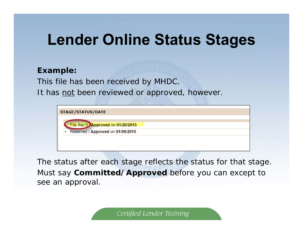#### **Example:**

This file has been received by MHDC.

It has not been reviewed or approved, however.

| STAGE/STATUS/DATE                      |  |
|----------------------------------------|--|
| File Rec'd Approved on 01/20/2015      |  |
| Reserved / Approved on 01/09/2015<br>٠ |  |
|                                        |  |
|                                        |  |

The status after each stage reflects the status for that stage. Must say **Committed/Approved** before you can except to see an approval.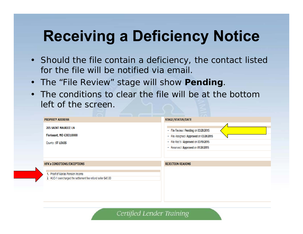# **Receiving a Deficiency Notice**

- Should the file contain a deficiency, the contact listed for the file will be notified via email.
- The "File Review" stage will show **Pending**.
- The conditions to clear the file will be at the bottom left of the screen.

| <b>PROPERTY ADDRESS</b>                                                                            | STAGE/STATUS/DATE                                                                                                                                               |
|----------------------------------------------------------------------------------------------------|-----------------------------------------------------------------------------------------------------------------------------------------------------------------|
| <b>205 SAINT MAURICE LN</b><br>Florissant, MO 630310000<br>County: ST LOUIS                        | • File Review / Pending on 03/20/2015<br>• File Assigned / Approved on 03/20/2015<br>· File Rec'd / Approved on 03/19/2015<br>Reserved / Approved on 01/26/2015 |
| <b>HFA's CONDITIONS/EXCEPTIONS</b>                                                                 | <b>REJECTION REASONS</b>                                                                                                                                        |
| 1. Proof of Marias Pension Income<br>2. HUD-1 overcharged the settlement fee refund seller \$45.00 |                                                                                                                                                                 |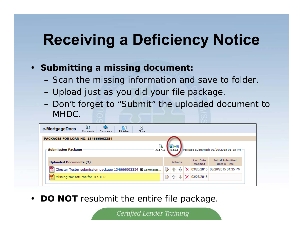# **Receiving a Deficiency Notice**

- **Submitting a missing document:**
	- –Scan the missing information and save to folder.
	- –Upload just as you did your file package.
	- – Don't forget to "Submit" the uploaded document to MHDC.

| ⋓<br>昌<br>⊠<br>e-MortgageDocs<br>Printable<br>Close<br>Comments<br>Comments |                                                                             |
|-----------------------------------------------------------------------------|-----------------------------------------------------------------------------|
| <b>PACKAGES FOR LOAN NO. 134666003354</b>                                   |                                                                             |
| <b>Submission Package</b>                                                   | Package Submitted: 03/26/2015 01:35 PM -                                    |
| Add New                                                                     | Submit                                                                      |
| <b>Uploaded Documents (2)</b>                                               | <b>Initial Submitted</b><br>Last Date<br>Actions<br>Modified<br>Date & Time |
| 婯                                                                           | 03/26/2015 03/26/2015 01:35 PM                                              |
| Chester Tester submission package 134666003354 El Comments                  | ₿                                                                           |
| 璽                                                                           | ₿                                                                           |
| Missing tax returns for TESTER                                              | 03/27/2015                                                                  |

 $\bullet$ **DO NOT** resubmit the entire file package.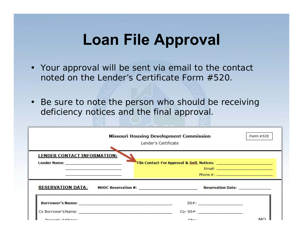- Your approval will be sent via email to the contact noted on the Lender's Certificate Form #520.
- Be sure to note the person who should be receiving deficiency notices and the final approval.

|                                                                                                                                                                                                                                                                                    | <b>Missouri Housing Development Commission</b><br>Lender's Certificate                                          | Form #520                                                                                                          |
|------------------------------------------------------------------------------------------------------------------------------------------------------------------------------------------------------------------------------------------------------------------------------------|-----------------------------------------------------------------------------------------------------------------|--------------------------------------------------------------------------------------------------------------------|
| <b>LENDER CONTACT INFORMATION:</b><br>Lender Name: _________________________<br>the contract of the contract of the contract of the contract of the contract of the contract of the contract of<br>the contract of the contract of the contract of the contract of the contract of |                                                                                                                 | Email: Contract of the Contract of the Contract of the Contract of the Contract of the Contract of the Contract of |
| <b>RESERVATION DATA:</b>                                                                                                                                                                                                                                                           | MHDC Reservation #: Network: Network: Network: Network: Network: Network: Network: Network: Network: Network: N |                                                                                                                    |
| <b>Borrower's Name:</b> Name: Name: Name: Name: Name: Name: Name: Name: Name: Name: Name: Name: Name: Name: Name: Name: Name: Name: Name: Name: Name: Name: Name: Name: Name: Name: Name: Name: Name: Name: Name: Name: Name: Name:                                                | $SS#$ :                                                                                                         |                                                                                                                    |
| Co Borrower's Name: Name: 2008 00:00 00:00 00:00 00:00 00:00 00:00 00:00 00:00 00:00 00:00 00:00 00:00 00:00 00:00 00:00 00:00 00:00 00:00 00:00 00:00 00:00 00:00 00:00 00:00 00:00 00:00 00:00 00:00 00:00 00:00 00:00 00:00                                                     | $Co-SS#$ :                                                                                                      |                                                                                                                    |
| Draporty Address:                                                                                                                                                                                                                                                                  | C <sub>1</sub>                                                                                                  | MC                                                                                                                 |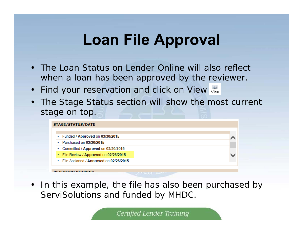- The Loan Status on Lender Online will also reflect when a loan has been approved by the reviewer.
- $\bullet$ Find your reservation and click on View
- The Stage Status section will show the most current stage on top.



• In this example, the file has also been purchased by ServiSolutions and funded by MHDC.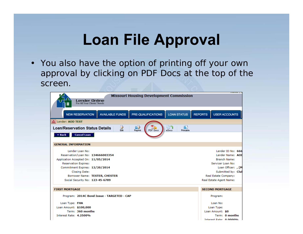• You also have the option of printing off your own approval by clicking on PDF Docs at the top of the screen.

| <b>Missouri Housing Development Commission</b><br>Lender Online<br>For All Your Clients' Needs                                                                                                                                                            |                                                                                                                                                                                  |
|-----------------------------------------------------------------------------------------------------------------------------------------------------------------------------------------------------------------------------------------------------------|----------------------------------------------------------------------------------------------------------------------------------------------------------------------------------|
| <b>LOAN STATUS</b><br><b>NEW RESERVATION</b><br><b>AVAILABLE FUNDS</b><br>PRE-QUALIFICATIONS                                                                                                                                                              | <b>USER ACCOUNTS</b><br><b>REPORTS</b>                                                                                                                                           |
| fill Lender: AOD TEST                                                                                                                                                                                                                                     |                                                                                                                                                                                  |
| BD.<br>B1<br>Þ<br>lê 7<br><b>Loan/Reservation Status Details</b><br><b>PDF</b> Docs<br><b>Edit</b><br>Printable<br>Reprint<br>eDocs<br><b>Cancel Loan</b><br>« Back                                                                                       |                                                                                                                                                                                  |
| <b>GENERAL INFORMATION</b>                                                                                                                                                                                                                                |                                                                                                                                                                                  |
| Lender Loan No:<br>Reservation/Loan No: 134666003354<br>Application Accepted On: 11/05/2014<br><b>Reservation Expires:</b><br>Commitment Expires: 12/20/2014<br><b>Closing Date:</b><br>Borrower Name: TESTER, CHESTER<br>Social Security No: 123-45-6789 | Lender ID No: 666<br>Lender Name: AOI<br><b>Branch Name:</b><br>Servicer Loan No:<br>Loan Officer: , [M<br>Submitted by: Clul<br>Real Estate Company:<br>Real Estate Agent Name: |
| <b>FIRST MORTGAGE</b>                                                                                                                                                                                                                                     | <b>SECOND MORTGAGE</b>                                                                                                                                                           |
| Program: 2014C Bond Issue - TARGETED - CAP                                                                                                                                                                                                                | Program:                                                                                                                                                                         |
| Loan Type: FHA                                                                                                                                                                                                                                            | Loan No:                                                                                                                                                                         |
| Loan Amount: \$100,000                                                                                                                                                                                                                                    | Loan Type:                                                                                                                                                                       |
| Term: 360 months<br>Interest Rate: 4.2500%                                                                                                                                                                                                                | Loan Amount: \$0<br>Term: 0 months                                                                                                                                               |
|                                                                                                                                                                                                                                                           | Interest Rate: 0.0000%                                                                                                                                                           |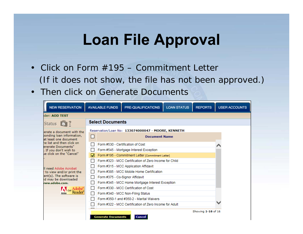- Click on Form #195 Commitment Letter*(If it does not show, the file has not been approved.)*
- Then click on Generate Documents

| <b>NEW RESERVATION</b>                                                           |                                                    | <b>AVAILABLE FUNDS</b>            | PRE-QUALIFICATIONS                                     | <b>LOAN STATUS</b> | <b>REPORTS</b> | <b>USER ACCOUNTS</b> |  |
|----------------------------------------------------------------------------------|----------------------------------------------------|-----------------------------------|--------------------------------------------------------|--------------------|----------------|----------------------|--|
| der: AOD TEST                                                                    |                                                    |                                   |                                                        |                    |                |                      |  |
| Status                                                                           | <b>Select Documents</b>                            |                                   |                                                        |                    |                |                      |  |
| erate a document with the<br>ponding loan information,<br>at least one document. | Reservation/Loan No: 133074000047 - MOORE, KENNETH |                                   |                                                        |                    |                |                      |  |
|                                                                                  | П                                                  |                                   | <b>Document Name</b>                                   |                    |                |                      |  |
| he list and then click on<br>enerate Documents"                                  |                                                    | Form #530 - Certification of Cost |                                                        |                    |                |                      |  |
| . If you don't wish to                                                           |                                                    |                                   | Form #545 - Mortgage Interest Exception                |                    |                |                      |  |
| ue click on the "Cancel"                                                         | M                                                  |                                   | Form #195 - Commitment Letter [Commitment Letter]      |                    |                |                      |  |
|                                                                                  |                                                    |                                   | Form #323 - MCC Certification of Zero Income for Child |                    |                |                      |  |
| II need Adobe Acrobat                                                            |                                                    |                                   | Form #315 - MCC Application Affidavit                  |                    |                |                      |  |
| r to view and/or print the                                                       |                                                    |                                   | Form #385 - MCC Mobile Home Certification              |                    |                |                      |  |
| ent(s). The software is<br>id may be downloaded                                  |                                                    | Form #375 - Co-Signor Affidavit   |                                                        |                    |                |                      |  |
| ww.adobe.com.                                                                    |                                                    |                                   | Form #345 - MCC Home Mortgage Interest Exception       |                    |                |                      |  |
| <b>Adobe</b><br>Adobe Reader                                                     |                                                    |                                   | Form #330 - MCC Certification of Cost                  |                    |                |                      |  |
| Adobe                                                                            | $\mathsf{L}$                                       |                                   | Form #340 - MCC Non-Filing Status                      |                    |                |                      |  |
|                                                                                  |                                                    |                                   | Form #350-1 and #350-2 - Marital Waivers               |                    |                |                      |  |
|                                                                                  |                                                    |                                   | Form #322 - MCC Certification of Zero Income for Adult |                    |                |                      |  |
|                                                                                  | Showing 1-16 of 16                                 |                                   |                                                        |                    |                |                      |  |
|                                                                                  |                                                    | <b>Generate Documents</b>         | Cance                                                  |                    |                |                      |  |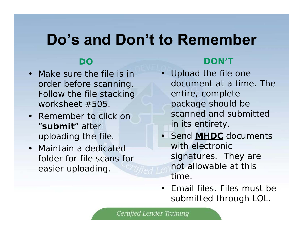# **Do's and Don't to Remember**

### **DO**

- Make sure the file is in order before scanning. Follow the file stacking worksheet #505.
- Remember to click on "**submit**" after uploading the file.
- Maintain a dedicated folder for file scans for easier uploading.

### **DON'T**

- Upload the file one document at a time. The entire, complete package should be scanned and submitted in its entirety.
- Send **MHDC** documents with electronic signatures. They are not allowable at this time.
- Email files. Files must be submitted through LOL.